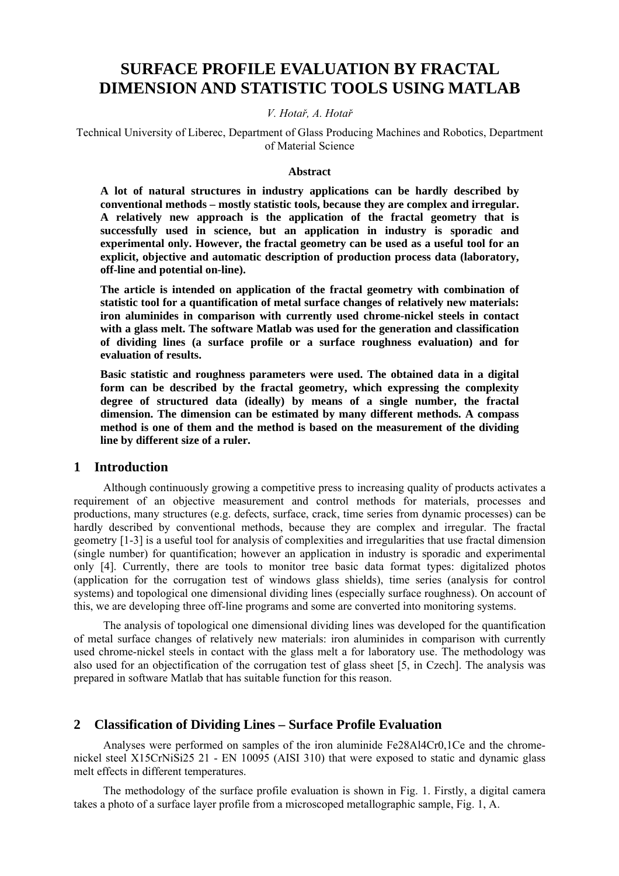# **SURFACE PROFILE EVALUATION BY FRACTAL DIMENSION AND STATISTIC TOOLS USING MATLAB**

#### *V. Hotař, A. Hotař*

Technical University of Liberec, Department of Glass Producing Machines and Robotics, Department of Material Science

#### **Abstract**

**A lot of natural structures in industry applications can be hardly described by conventional methods – mostly statistic tools, because they are complex and irregular. A relatively new approach is the application of the fractal geometry that is successfully used in science, but an application in industry is sporadic and experimental only. However, the fractal geometry can be used as a useful tool for an explicit, objective and automatic description of production process data (laboratory, off-line and potential on-line).** 

**The article is intended on application of the fractal geometry with combination of statistic tool for a quantification of metal surface changes of relatively new materials: iron aluminides in comparison with currently used chrome-nickel steels in contact with a glass melt. The software Matlab was used for the generation and classification of dividing lines (a surface profile or a surface roughness evaluation) and for evaluation of results.** 

**Basic statistic and roughness parameters were used. The obtained data in a digital form can be described by the fractal geometry, which expressing the complexity degree of structured data (ideally) by means of a single number, the fractal dimension. The dimension can be estimated by many different methods. A compass method is one of them and the method is based on the measurement of the dividing line by different size of a ruler.** 

## **1 Introduction**

Although continuously growing a competitive press to increasing quality of products activates a requirement of an objective measurement and control methods for materials, processes and productions, many structures (e.g. defects, surface, crack, time series from dynamic processes) can be hardly described by conventional methods, because they are complex and irregular. The fractal geometry [1-3] is a useful tool for analysis of complexities and irregularities that use fractal dimension (single number) for quantification; however an application in industry is sporadic and experimental only [4]. Currently, there are tools to monitor tree basic data format types: digitalized photos (application for the corrugation test of windows glass shields), time series (analysis for control systems) and topological one dimensional dividing lines (especially surface roughness). On account of this, we are developing three off-line programs and some are converted into monitoring systems.

The analysis of topological one dimensional dividing lines was developed for the quantification of metal surface changes of relatively new materials: iron aluminides in comparison with currently used chrome-nickel steels in contact with the glass melt a for laboratory use. The methodology was also used for an objectification of the corrugation test of glass sheet [5, in Czech]. The analysis was prepared in software Matlab that has suitable function for this reason.

## **2 Classification of Dividing Lines – Surface Profile Evaluation**

Analyses were performed on samples of the iron aluminide Fe28Al4Cr0,1Ce and the chromenickel steel X15CrNiSi25 21 - EN 10095 (AISI 310) that were exposed to static and dynamic glass melt effects in different temperatures.

The methodology of the surface profile evaluation is shown in Fig. 1. Firstly, a digital camera takes a photo of a surface layer profile from a microscoped metallographic sample, Fig. 1, A.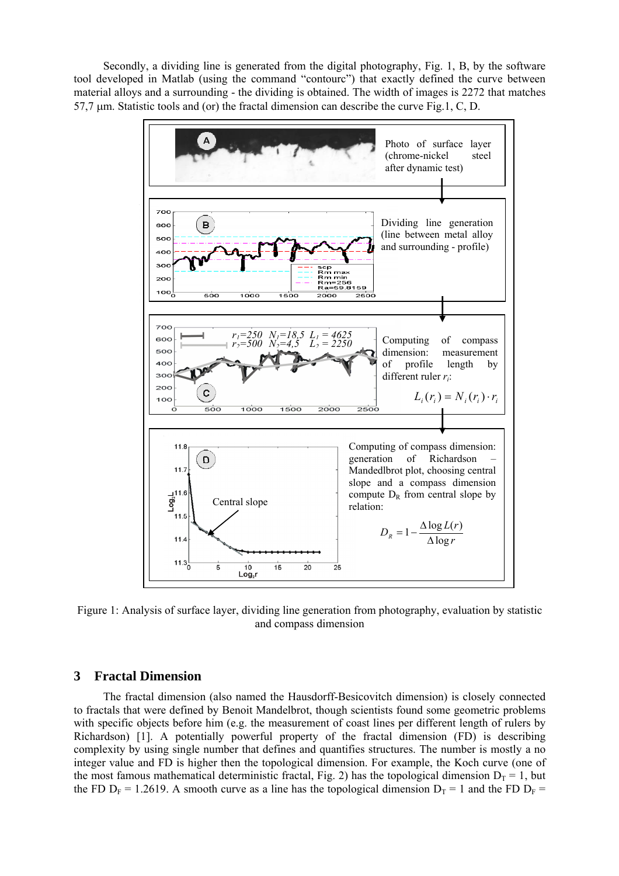Secondly, a dividing line is generated from the digital photography, Fig. 1, B, by the software tool developed in Matlab (using the command "contourc") that exactly defined the curve between material alloys and a surrounding - the dividing is obtained. The width of images is 2272 that matches 57,7 µm. Statistic tools and (or) the fractal dimension can describe the curve Fig.1, C, D.



Figure 1: Analysis of surface layer, dividing line generation from photography, evaluation by statistic and compass dimension

## **3 Fractal Dimension**

The fractal dimension (also named the Hausdorff-Besicovitch dimension) is closely connected to fractals that were defined by Benoit Mandelbrot, though scientists found some geometric problems with specific objects before him (e.g. the measurement of coast lines per different length of rulers by Richardson) [1]. A potentially powerful property of the fractal dimension (FD) is describing complexity by using single number that defines and quantifies structures. The number is mostly a no integer value and FD is higher then the topological dimension. For example, the Koch curve (one of the most famous mathematical deterministic fractal, Fig. 2) has the topological dimension  $D_T = 1$ , but the FD  $D_F = 1.2619$ . A smooth curve as a line has the topological dimension  $D_T = 1$  and the FD  $D_F =$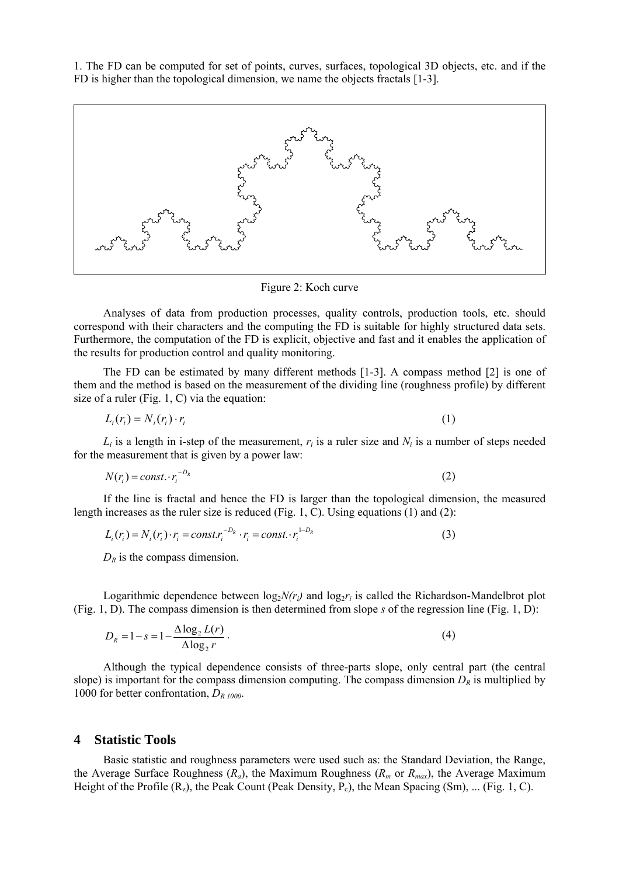1. The FD can be computed for set of points, curves, surfaces, topological 3D objects, etc. and if the FD is higher than the topological dimension, we name the objects fractals [1-3].



Figure 2: Koch curve

Analyses of data from production processes, quality controls, production tools, etc. should correspond with their characters and the computing the FD is suitable for highly structured data sets. Furthermore, the computation of the FD is explicit, objective and fast and it enables the application of the results for production control and quality monitoring.

The FD can be estimated by many different methods [1-3]. A compass method [2] is one of them and the method is based on the measurement of the dividing line (roughness profile) by different size of a ruler (Fig. 1, C) via the equation:

$$
L_i(r_i) = N_i(r_i) \cdot r_i \tag{1}
$$

 $L_i$  is a length in i-step of the measurement,  $r_i$  is a ruler size and  $N_i$  is a number of steps needed for the measurement that is given by a power law:

$$
N(r_i) = const. \cdot r_i^{-D_R} \tag{2}
$$

If the line is fractal and hence the FD is larger than the topological dimension, the measured length increases as the ruler size is reduced (Fig. 1, C). Using equations (1) and (2):

$$
L_i(r_i) = N_i(r_i) \cdot r_i = const.r_i^{-D_R} \cdot r_i = const.\cdot r_i^{1-D_R}
$$
\n(3)

 $D_R$  is the compass dimension.

Logarithmic dependence between  $\log_2 N(r_i)$  and  $\log_2 r_i$  is called the Richardson-Mandelbrot plot (Fig. 1, D). The compass dimension is then determined from slope *s* of the regression line (Fig. 1, D):

$$
D_R = 1 - s = 1 - \frac{\Delta \log_2 L(r)}{\Delta \log_2 r} \,. \tag{4}
$$

Although the typical dependence consists of three-parts slope, only central part (the central slope) is important for the compass dimension computing. The compass dimension  $D_R$  is multiplied by 1000 for better confrontation, *DR 1000*.

#### **4 Statistic Tools**

Basic statistic and roughness parameters were used such as: the Standard Deviation, the Range, the Average Surface Roughness  $(R_a)$ , the Maximum Roughness  $(R_m$  or  $R_{max}$ ), the Average Maximum Height of the Profile  $(R_z)$ , the Peak Count (Peak Density, P<sub>c</sub>), the Mean Spacing (Sm), ... (Fig. 1, C).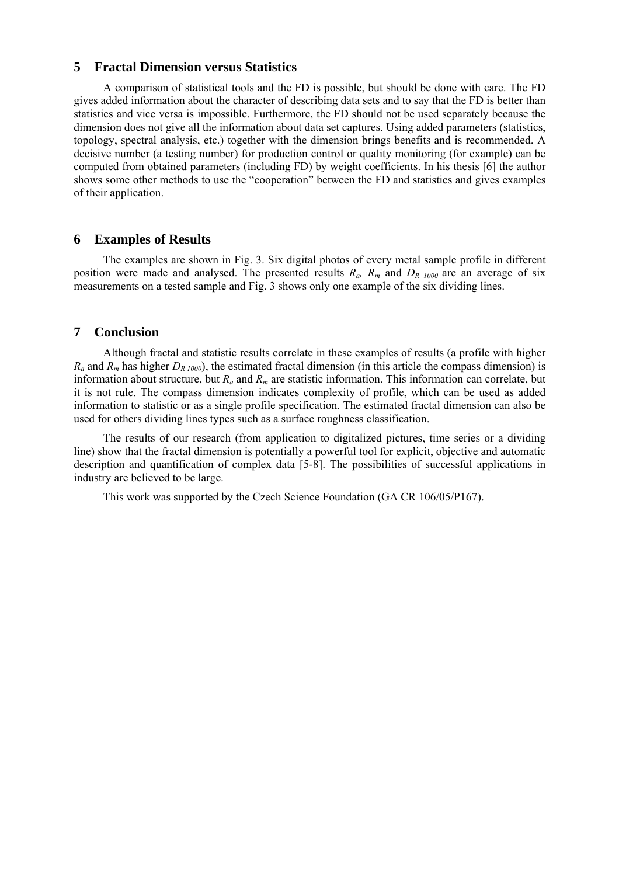## **5 Fractal Dimension versus Statistics**

A comparison of statistical tools and the FD is possible, but should be done with care. The FD gives added information about the character of describing data sets and to say that the FD is better than statistics and vice versa is impossible. Furthermore, the FD should not be used separately because the dimension does not give all the information about data set captures. Using added parameters (statistics, topology, spectral analysis, etc.) together with the dimension brings benefits and is recommended. A decisive number (a testing number) for production control or quality monitoring (for example) can be computed from obtained parameters (including FD) by weight coefficients. In his thesis [6] the author shows some other methods to use the "cooperation" between the FD and statistics and gives examples of their application.

## **6 Examples of Results**

The examples are shown in Fig. 3. Six digital photos of every metal sample profile in different position were made and analysed. The presented results  $R_a$ ,  $R_m$  and  $D_{R,1000}$  are an average of six measurements on a tested sample and Fig. 3 shows only one example of the six dividing lines.

# **7 Conclusion**

Although fractal and statistic results correlate in these examples of results (a profile with higher  $R_a$  and  $R_m$  has higher  $D_{R1000}$ , the estimated fractal dimension (in this article the compass dimension) is information about structure, but *Ra* and *Rm* are statistic information. This information can correlate, but it is not rule. The compass dimension indicates complexity of profile, which can be used as added information to statistic or as a single profile specification. The estimated fractal dimension can also be used for others dividing lines types such as a surface roughness classification.

The results of our research (from application to digitalized pictures, time series or a dividing line) show that the fractal dimension is potentially a powerful tool for explicit, objective and automatic description and quantification of complex data [5-8]. The possibilities of successful applications in industry are believed to be large.

This work was supported by the Czech Science Foundation (GA CR 106/05/P167).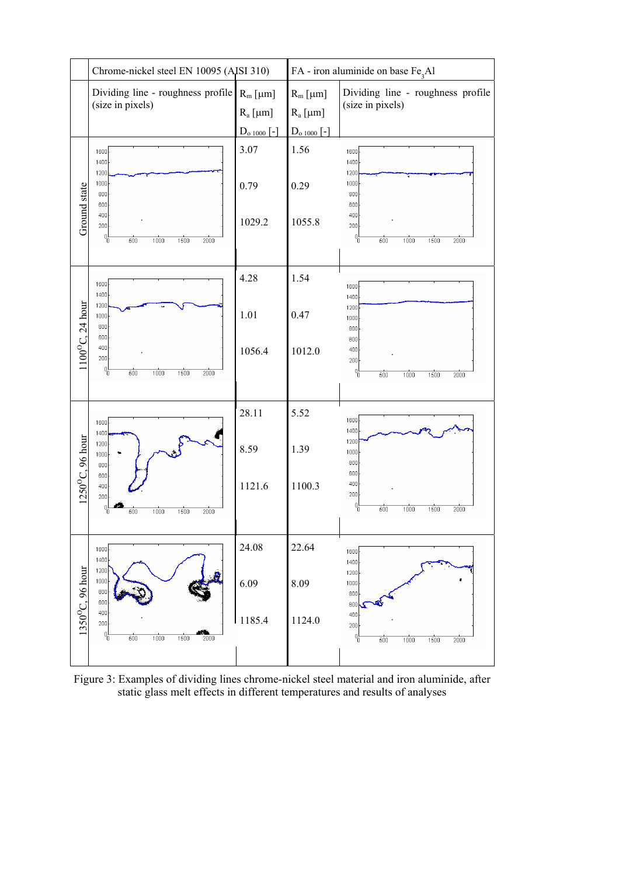

Figure 3: Examples of dividing lines chrome-nickel steel material and iron aluminide, after static glass melt effects in different temperatures and results of analyses